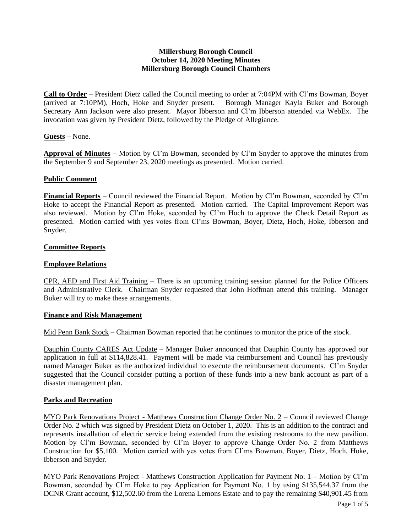### **Millersburg Borough Council October 14, 2020 Meeting Minutes Millersburg Borough Council Chambers**

**Call to Order** – President Dietz called the Council meeting to order at 7:04PM with Cl'ms Bowman, Boyer (arrived at 7:10PM), Hoch, Hoke and Snyder present. Borough Manager Kayla Buker and Borough Secretary Ann Jackson were also present. Mayor Ibberson and Cl'm Ibberson attended via WebEx. The invocation was given by President Dietz, followed by the Pledge of Allegiance.

### **Guests** – None.

**Approval of Minutes** – Motion by Cl'm Bowman, seconded by Cl'm Snyder to approve the minutes from the September 9 and September 23, 2020 meetings as presented. Motion carried.

#### **Public Comment**

**Financial Reports** – Council reviewed the Financial Report. Motion by Cl'm Bowman, seconded by Cl'm Hoke to accept the Financial Report as presented. Motion carried. The Capital Improvement Report was also reviewed. Motion by Cl'm Hoke, seconded by Cl'm Hoch to approve the Check Detail Report as presented. Motion carried with yes votes from Cl'ms Bowman, Boyer, Dietz, Hoch, Hoke, Ibberson and Snyder.

#### **Committee Reports**

### **Employee Relations**

CPR, AED and First Aid Training – There is an upcoming training session planned for the Police Officers and Administrative Clerk. Chairman Snyder requested that John Hoffman attend this training. Manager Buker will try to make these arrangements.

#### **Finance and Risk Management**

Mid Penn Bank Stock – Chairman Bowman reported that he continues to monitor the price of the stock.

Dauphin County CARES Act Update – Manager Buker announced that Dauphin County has approved our application in full at \$114,828.41. Payment will be made via reimbursement and Council has previously named Manager Buker as the authorized individual to execute the reimbursement documents. Cl'm Snyder suggested that the Council consider putting a portion of these funds into a new bank account as part of a disaster management plan.

#### **Parks and Recreation**

MYO Park Renovations Project - Matthews Construction Change Order No. 2 – Council reviewed Change Order No. 2 which was signed by President Dietz on October 1, 2020. This is an addition to the contract and represents installation of electric service being extended from the existing restrooms to the new pavilion. Motion by Cl'm Bowman, seconded by Cl'm Boyer to approve Change Order No. 2 from Matthews Construction for \$5,100. Motion carried with yes votes from Cl'ms Bowman, Boyer, Dietz, Hoch, Hoke, Ibberson and Snyder.

MYO Park Renovations Project - Matthews Construction Application for Payment No. 1 – Motion by Cl'm Bowman, seconded by Cl'm Hoke to pay Application for Payment No. 1 by using \$135,544.37 from the DCNR Grant account, \$12,502.60 from the Lorena Lemons Estate and to pay the remaining \$40,901.45 from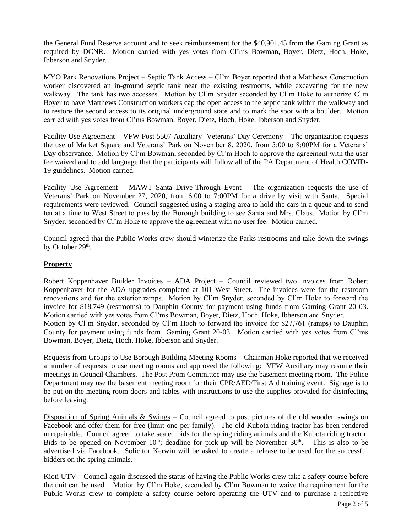the General Fund Reserve account and to seek reimbursement for the \$40,901.45 from the Gaming Grant as required by DCNR. Motion carried with yes votes from Cl'ms Bowman, Boyer, Dietz, Hoch, Hoke, Ibberson and Snyder.

MYO Park Renovations Project – Septic Tank Access – Cl'm Boyer reported that a Matthews Construction worker discovered an in-ground septic tank near the existing restrooms, while excavating for the new walkway. The tank has two accesses. Motion by Cl'm Snyder seconded by Cl'm Hoke to authorize Cl'm Boyer to have Matthews Construction workers cap the open access to the septic tank within the walkway and to restore the second access to its original underground state and to mark the spot with a boulder. Motion carried with yes votes from Cl'ms Bowman, Boyer, Dietz, Hoch, Hoke, Ibberson and Snyder.

Facility Use Agreement – VFW Post 5507 Auxiliary -Veterans' Day Ceremony – The organization requests the use of Market Square and Veterans' Park on November 8, 2020, from 5:00 to 8:00PM for a Veterans' Day observance. Motion by Cl'm Bowman, seconded by Cl'm Hoch to approve the agreement with the user fee waived and to add language that the participants will follow all of the PA Department of Health COVID-19 guidelines. Motion carried.

Facility Use Agreement – MAWT Santa Drive-Through Event – The organization requests the use of Veterans' Park on November 27, 2020, from 6:00 to 7:00PM for a drive by visit with Santa. Special requirements were reviewed. Council suggested using a staging area to hold the cars in a queue and to send ten at a time to West Street to pass by the Borough building to see Santa and Mrs. Claus. Motion by Cl'm Snyder, seconded by Cl'm Hoke to approve the agreement with no user fee. Motion carried.

Council agreed that the Public Works crew should winterize the Parks restrooms and take down the swings by October 29<sup>th</sup>.

# **Property**

Robert Koppenhaver Builder Invoices – ADA Project – Council reviewed two invoices from Robert Koppenhaver for the ADA upgrades completed at 101 West Street. The invoices were for the restroom renovations and for the exterior ramps. Motion by Cl'm Snyder, seconded by Cl'm Hoke to forward the invoice for \$18,749 (restrooms) to Dauphin County for payment using funds from Gaming Grant 20-03. Motion carried with yes votes from Cl'ms Bowman, Boyer, Dietz, Hoch, Hoke, Ibberson and Snyder. Motion by Cl'm Snyder, seconded by Cl'm Hoch to forward the invoice for \$27,761 (ramps) to Dauphin County for payment using funds from Gaming Grant 20-03. Motion carried with yes votes from Cl'ms Bowman, Boyer, Dietz, Hoch, Hoke, Ibberson and Snyder.

Requests from Groups to Use Borough Building Meeting Rooms – Chairman Hoke reported that we received a number of requests to use meeting rooms and approved the following: VFW Auxiliary may resume their meetings in Council Chambers. The Post Prom Committee may use the basement meeting room. The Police Department may use the basement meeting room for their CPR/AED/First Aid training event. Signage is to be put on the meeting room doors and tables with instructions to use the supplies provided for disinfecting before leaving.

Disposition of Spring Animals & Swings – Council agreed to post pictures of the old wooden swings on Facebook and offer them for free (limit one per family). The old Kubota riding tractor has been rendered unrepairable. Council agreed to take sealed bids for the spring riding animals and the Kubota riding tractor. Bids to be opened on November  $10<sup>th</sup>$ ; deadline for pick-up will be November  $30<sup>th</sup>$ . This is also to be advertised via Facebook. Solicitor Kerwin will be asked to create a release to be used for the successful bidders on the spring animals.

Kioti UTV – Council again discussed the status of having the Public Works crew take a safety course before the unit can be used. Motion by Cl'm Hoke, seconded by Cl'm Bowman to waive the requirement for the Public Works crew to complete a safety course before operating the UTV and to purchase a reflective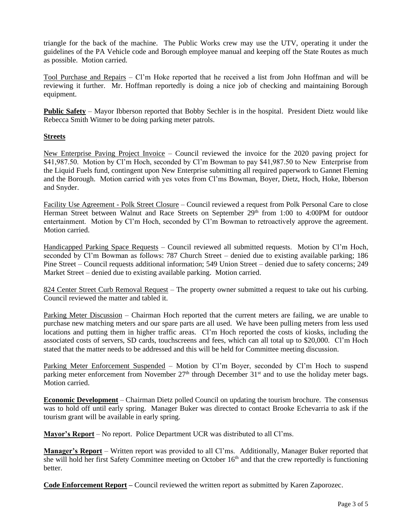triangle for the back of the machine. The Public Works crew may use the UTV, operating it under the guidelines of the PA Vehicle code and Borough employee manual and keeping off the State Routes as much as possible. Motion carried.

Tool Purchase and Repairs – Cl'm Hoke reported that he received a list from John Hoffman and will be reviewing it further. Mr. Hoffman reportedly is doing a nice job of checking and maintaining Borough equipment.

**Public Safety** – Mayor Ibberson reported that Bobby Sechler is in the hospital. President Dietz would like Rebecca Smith Witmer to be doing parking meter patrols.

# **Streets**

New Enterprise Paving Project Invoice – Council reviewed the invoice for the 2020 paving project for \$41,987.50. Motion by Cl'm Hoch, seconded by Cl'm Bowman to pay \$41,987.50 to New Enterprise from the Liquid Fuels fund, contingent upon New Enterprise submitting all required paperwork to Gannet Fleming and the Borough. Motion carried with yes votes from Cl'ms Bowman, Boyer, Dietz, Hoch, Hoke, Ibberson and Snyder.

Facility Use Agreement - Polk Street Closure – Council reviewed a request from Polk Personal Care to close Herman Street between Walnut and Race Streets on September 29<sup>th</sup> from 1:00 to 4:00PM for outdoor entertainment. Motion by Cl'm Hoch, seconded by Cl'm Bowman to retroactively approve the agreement. Motion carried.

Handicapped Parking Space Requests – Council reviewed all submitted requests. Motion by Cl'm Hoch, seconded by Cl'm Bowman as follows: 787 Church Street – denied due to existing available parking; 186 Pine Street – Council requests additional information; 549 Union Street – denied due to safety concerns; 249 Market Street – denied due to existing available parking. Motion carried.

824 Center Street Curb Removal Request – The property owner submitted a request to take out his curbing. Council reviewed the matter and tabled it.

Parking Meter Discussion – Chairman Hoch reported that the current meters are failing, we are unable to purchase new matching meters and our spare parts are all used. We have been pulling meters from less used locations and putting them in higher traffic areas. Cl'm Hoch reported the costs of kiosks, including the associated costs of servers, SD cards, touchscreens and fees, which can all total up to \$20,000. Cl'm Hoch stated that the matter needs to be addressed and this will be held for Committee meeting discussion.

Parking Meter Enforcement Suspended – Motion by Cl'm Boyer, seconded by Cl'm Hoch to suspend parking meter enforcement from November 27<sup>th</sup> through December 31<sup>st</sup> and to use the holiday meter bags. Motion carried.

**Economic Development** – Chairman Dietz polled Council on updating the tourism brochure. The consensus was to hold off until early spring. Manager Buker was directed to contact Brooke Echevarria to ask if the tourism grant will be available in early spring.

**Mayor's Report** – No report. Police Department UCR was distributed to all Cl'ms.

**Manager's Report** – Written report was provided to all Cl'ms. Additionally, Manager Buker reported that she will hold her first Safety Committee meeting on October  $16<sup>th</sup>$  and that the crew reportedly is functioning better.

**Code Enforcement Report –** Council reviewed the written report as submitted by Karen Zaporozec.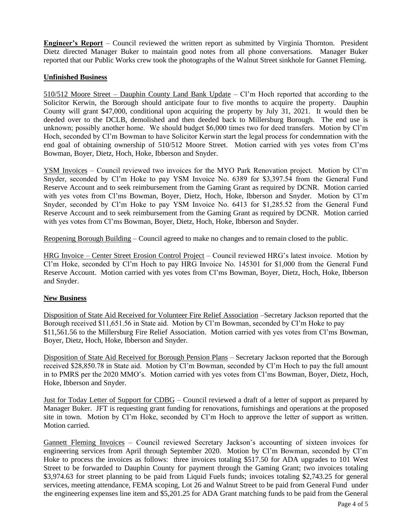**Engineer's Report** – Council reviewed the written report as submitted by Virginia Thornton. President Dietz directed Manager Buker to maintain good notes from all phone conversations. Manager Buker reported that our Public Works crew took the photographs of the Walnut Street sinkhole for Gannet Fleming.

# **Unfinished Business**

510/512 Moore Street – Dauphin County Land Bank Update – Cl'm Hoch reported that according to the Solicitor Kerwin, the Borough should anticipate four to five months to acquire the property. Dauphin County will grant \$47,000, conditional upon acquiring the property by July 31, 2021. It would then be deeded over to the DCLB, demolished and then deeded back to Millersburg Borough. The end use is unknown; possibly another home. We should budget \$6,000 times two for deed transfers. Motion by Cl'm Hoch, seconded by Cl'm Bowman to have Solicitor Kerwin start the legal process for condemnation with the end goal of obtaining ownership of 510/512 Moore Street. Motion carried with yes votes from Cl'ms Bowman, Boyer, Dietz, Hoch, Hoke, Ibberson and Snyder.

YSM Invoices – Council reviewed two invoices for the MYO Park Renovation project. Motion by Cl'm Snyder, seconded by Cl'm Hoke to pay YSM Invoice No. 6389 for \$3,397.54 from the General Fund Reserve Account and to seek reimbursement from the Gaming Grant as required by DCNR. Motion carried with yes votes from Cl'ms Bowman, Boyer, Dietz, Hoch, Hoke, Ibberson and Snyder. Motion by Cl'm Snyder, seconded by Cl'm Hoke to pay YSM Invoice No. 6413 for \$1,285.52 from the General Fund Reserve Account and to seek reimbursement from the Gaming Grant as required by DCNR. Motion carried with yes votes from Cl'ms Bowman, Boyer, Dietz, Hoch, Hoke, Ibberson and Snyder.

Reopening Borough Building – Council agreed to make no changes and to remain closed to the public.

HRG Invoice – Center Street Erosion Control Project – Council reviewed HRG's latest invoice. Motion by Cl'm Hoke, seconded by Cl'm Hoch to pay HRG Invoice No. 145301 for \$1,000 from the General Fund Reserve Account. Motion carried with yes votes from Cl'ms Bowman, Boyer, Dietz, Hoch, Hoke, Ibberson and Snyder.

#### **New Business**

Disposition of State Aid Received for Volunteer Fire Relief Association –Secretary Jackson reported that the Borough received \$11,651.56 in State aid. Motion by Cl'm Bowman, seconded by Cl'm Hoke to pay \$11,561.56 to the Millersburg Fire Relief Association. Motion carried with yes votes from Cl'ms Bowman, Boyer, Dietz, Hoch, Hoke, Ibberson and Snyder.

Disposition of State Aid Received for Borough Pension Plans – Secretary Jackson reported that the Borough received \$28,850.78 in State aid. Motion by Cl'm Bowman, seconded by Cl'm Hoch to pay the full amount in to PMRS per the 2020 MMO's. Motion carried with yes votes from Cl'ms Bowman, Boyer, Dietz, Hoch, Hoke, Ibberson and Snyder.

Just for Today Letter of Support for CDBG – Council reviewed a draft of a letter of support as prepared by Manager Buker. JFT is requesting grant funding for renovations, furnishings and operations at the proposed site in town. Motion by Cl'm Hoke, seconded by Cl'm Hoch to approve the letter of support as written. Motion carried.

Gannett Fleming Invoices – Council reviewed Secretary Jackson's accounting of sixteen invoices for engineering services from April through September 2020. Motion by Cl'm Bowman, seconded by Cl'm Hoke to process the invoices as follows: three invoices totaling \$517.50 for ADA upgrades to 101 West Street to be forwarded to Dauphin County for payment through the Gaming Grant; two invoices totaling \$3,974.63 for street planning to be paid from Liquid Fuels funds; invoices totaling \$2,743.25 for general services, meeting attendance, FEMA scoping, Lot 26 and Walnut Street to be paid from General Fund under the engineering expenses line item and \$5,201.25 for ADA Grant matching funds to be paid from the General